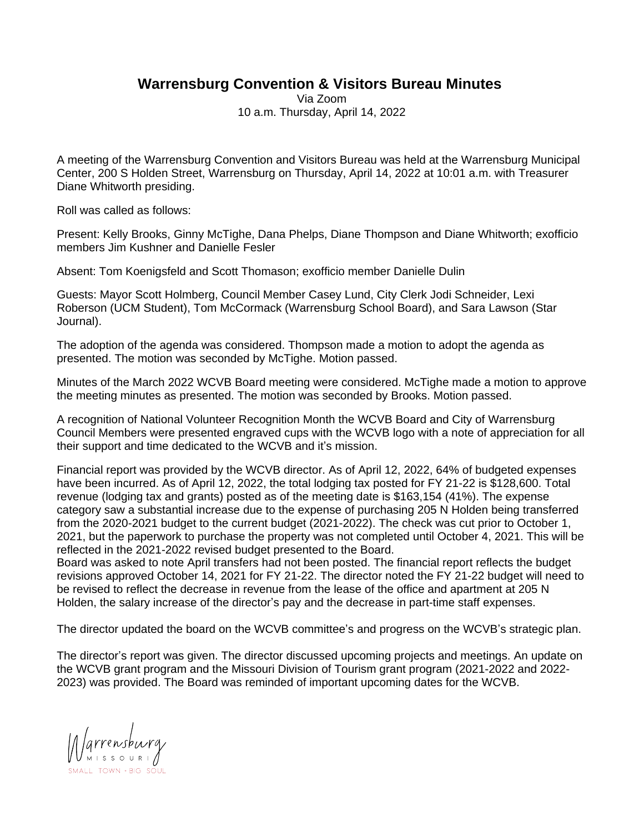## **Warrensburg Convention & Visitors Bureau Minutes**

Via Zoom 10 a.m. Thursday, April 14, 2022

A meeting of the Warrensburg Convention and Visitors Bureau was held at the Warrensburg Municipal Center, 200 S Holden Street, Warrensburg on Thursday, April 14, 2022 at 10:01 a.m. with Treasurer Diane Whitworth presiding.

Roll was called as follows:

Present: Kelly Brooks, Ginny McTighe, Dana Phelps, Diane Thompson and Diane Whitworth; exofficio members Jim Kushner and Danielle Fesler

Absent: Tom Koenigsfeld and Scott Thomason; exofficio member Danielle Dulin

Guests: Mayor Scott Holmberg, Council Member Casey Lund, City Clerk Jodi Schneider, Lexi Roberson (UCM Student), Tom McCormack (Warrensburg School Board), and Sara Lawson (Star Journal).

The adoption of the agenda was considered. Thompson made a motion to adopt the agenda as presented. The motion was seconded by McTighe. Motion passed.

Minutes of the March 2022 WCVB Board meeting were considered. McTighe made a motion to approve the meeting minutes as presented. The motion was seconded by Brooks. Motion passed.

A recognition of National Volunteer Recognition Month the WCVB Board and City of Warrensburg Council Members were presented engraved cups with the WCVB logo with a note of appreciation for all their support and time dedicated to the WCVB and it's mission.

Financial report was provided by the WCVB director. As of April 12, 2022, 64% of budgeted expenses have been incurred. As of April 12, 2022, the total lodging tax posted for FY 21-22 is \$128,600. Total revenue (lodging tax and grants) posted as of the meeting date is \$163,154 (41%). The expense category saw a substantial increase due to the expense of purchasing 205 N Holden being transferred from the 2020-2021 budget to the current budget (2021-2022). The check was cut prior to October 1, 2021, but the paperwork to purchase the property was not completed until October 4, 2021. This will be reflected in the 2021-2022 revised budget presented to the Board.

Board was asked to note April transfers had not been posted. The financial report reflects the budget revisions approved October 14, 2021 for FY 21-22. The director noted the FY 21-22 budget will need to be revised to reflect the decrease in revenue from the lease of the office and apartment at 205 N Holden, the salary increase of the director's pay and the decrease in part-time staff expenses.

The director updated the board on the WCVB committee's and progress on the WCVB's strategic plan.

The director's report was given. The director discussed upcoming projects and meetings. An update on the WCVB grant program and the Missouri Division of Tourism grant program (2021-2022 and 2022- 2023) was provided. The Board was reminded of important upcoming dates for the WCVB.

Marrensburg SMALL TOWN + BIG 3